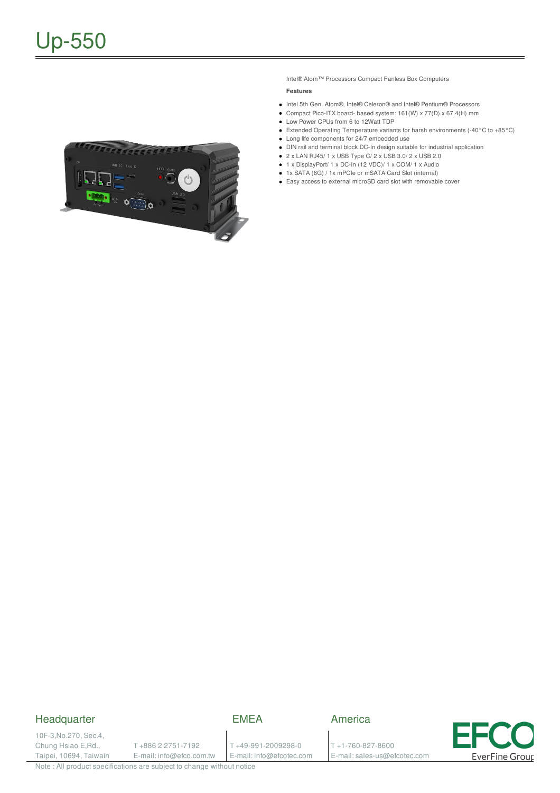

Intel® Atom™ Processors Compact Fanless Box Computers

## **Features**

- Intel 5th Gen. Atom®, Intel® Celeron® and Intel® Pentium® Processors
- Compact Pico-ITX board- based system: 161(W) x 77(D) x 67.4(H) mm
- Low Power CPUs from 6 to 12Watt TDP
- Extended Operating Temperature variants for harsh environments (-40°C to +85°C)
- Long life components for 24/7 embedded use
- DIN rail and terminal block DC-In design suitable for industrial application
- $\bullet$  2 x LAN RJ45/ 1 x USB Type C/ 2 x USB 3.0/ 2 x USB 2.0 ■ 1 x DisplayPort/ 1 x DC-In (12 VDC)/ 1 x COM/ 1 x Audio
- 1x SATA (6G) / 1x mPCIe or mSATA Card Slot (internal)
- 
- Easy access to external microSD card slot with removable cover

## **Headquarter**

EMEA

10F-3,No.270, Sec.4, Chung Hsiao E,Rd., Taipei, 10694, Taiwain

T +886 2 2751-7192 E-mail: info@efco.com.tw

T +49-991-2009298-0 E-mail: info@efcotec.com

T +1-760-827-8600 E-mail: sales-us@efcotec.com

America



Note : All product specifications are subject to change without notice